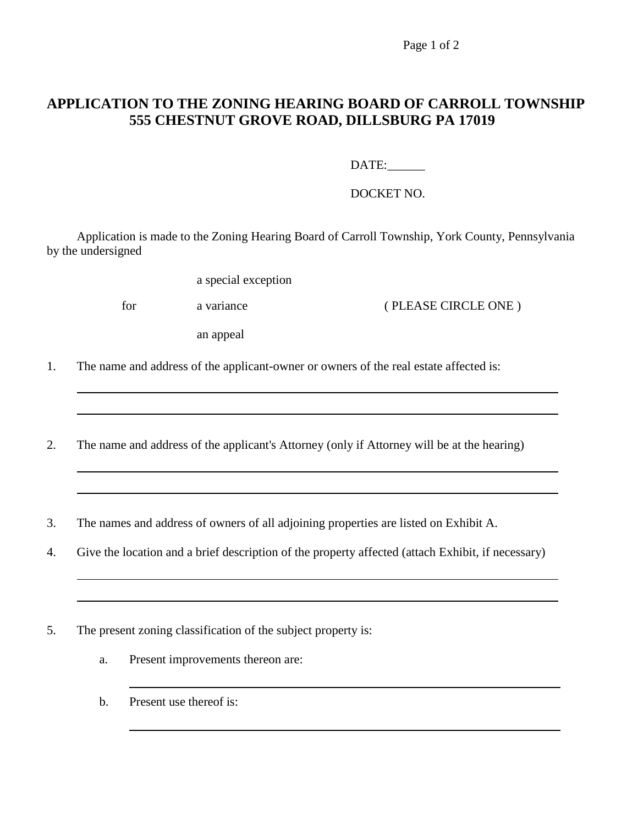Page 1 of 2

## **APPLICATION TO THE ZONING HEARING BOARD OF CARROLL TOWNSHIP 555 CHESTNUT GROVE ROAD, DILLSBURG PA 17019**

DATE:

DOCKET NO.

Application is made to the Zoning Hearing Board of Carroll Township, York County, Pennsylvania by the undersigned

a special exception

for a variance a variance ( PLEASE CIRCLE ONE )

an appeal

- 1. The name and address of the applicant-owner or owners of the real estate affected is:
- 2. The name and address of the applicant's Attorney (only if Attorney will be at the hearing)
- 3. The names and address of owners of all adjoining properties are listed on Exhibit A.
- 4. Give the location and a brief description of the property affected (attach Exhibit, if necessary)
- 5. The present zoning classification of the subject property is:
	- a. Present improvements thereon are:
	- b. Present use thereof is: